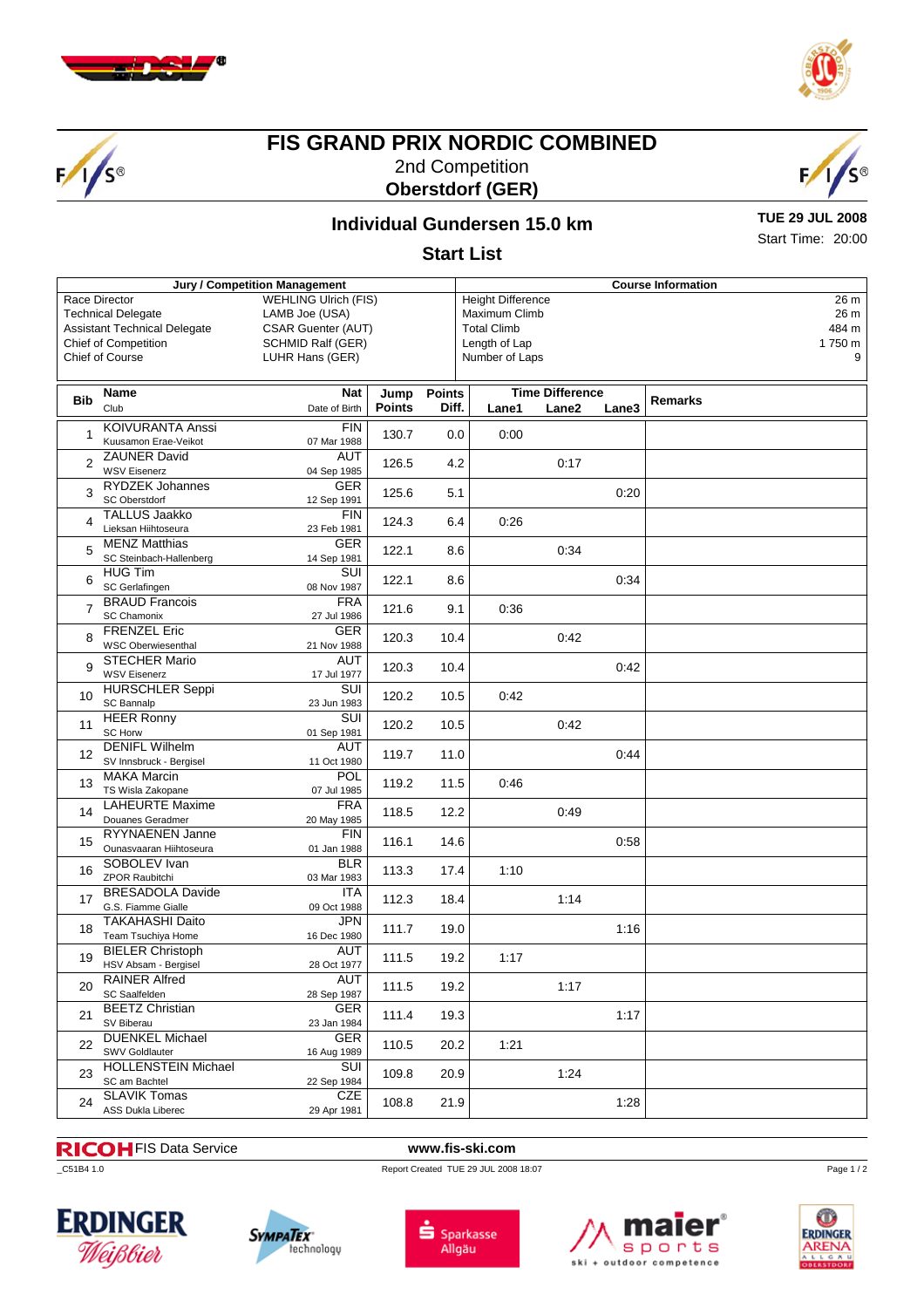





# **FIS GRAND PRIX NORDIC COMBINED** 2nd Competition **Oberstdorf (GER)**



## **Individual Gundersen 15.0 km**

**TUE 29 JUL 2008** Start Time: 20:00

### **Start List**

|                             | Jury / Competition Management       |                           | <b>Course Information</b>   |               |               |                                  |       |       |         |  |
|-----------------------------|-------------------------------------|---------------------------|-----------------------------|---------------|---------------|----------------------------------|-------|-------|---------|--|
|                             | Race Director                       |                           | <b>WEHLING Ulrich (FIS)</b> |               |               | <b>Height Difference</b><br>26 m |       |       |         |  |
| <b>Technical Delegate</b>   |                                     | LAMB Joe (USA)            |                             |               | Maximum Climb |                                  |       |       | 26 m    |  |
|                             | <b>Assistant Technical Delegate</b> | <b>CSAR Guenter (AUT)</b> |                             |               |               | <b>Total Climb</b>               |       |       | 484 m   |  |
| <b>Chief of Competition</b> |                                     | SCHMID Ralf (GER)         |                             |               | Length of Lap |                                  |       |       | 1750 m  |  |
|                             |                                     |                           |                             |               |               |                                  |       |       |         |  |
|                             | Chief of Course                     |                           | LUHR Hans (GER)             |               |               | Number of Laps                   |       |       | 9       |  |
|                             |                                     |                           |                             |               |               |                                  |       |       |         |  |
|                             | Name                                | Nat                       | Jump                        | <b>Points</b> |               | <b>Time Difference</b>           |       |       |         |  |
| <b>Bib</b>                  | Club                                | Date of Birth             | <b>Points</b>               | Diff.         |               | Lane1                            | Lane2 | Lane3 | Remarks |  |
|                             |                                     |                           |                             |               |               |                                  |       |       |         |  |
| $\mathbf{1}$                | <b>KOIVURANTA Anssi</b>             | <b>FIN</b>                | 130.7                       | 0.0           |               | 0:00                             |       |       |         |  |
|                             | Kuusamon Erae-Veikot                | 07 Mar 1988               |                             |               |               |                                  |       |       |         |  |
|                             | <b>ZAUNER David</b>                 | <b>AUT</b>                | 126.5                       | 4.2           |               |                                  | 0:17  |       |         |  |
| 2                           | <b>WSV Eisenerz</b>                 | 04 Sep 1985               |                             |               |               |                                  |       |       |         |  |
| 3                           | <b>RYDZEK Johannes</b>              | GER                       |                             |               |               |                                  |       |       |         |  |
|                             | SC Oberstdorf                       | 12 Sep 1991               | 125.6<br>5.1                |               |               |                                  |       | 0:20  |         |  |
|                             | <b>TALLUS Jaakko</b>                | <b>FIN</b>                |                             |               |               |                                  |       |       |         |  |
| $\overline{4}$              | Lieksan Hiihtoseura                 | 23 Feb 1981               | 124.3                       | 6.4           |               | 0:26                             |       |       |         |  |
| 5                           | <b>MENZ Matthias</b>                | GER                       |                             |               |               |                                  |       |       |         |  |
|                             | SC Steinbach-Hallenberg             | 14 Sep 1981               | 122.1                       | 8.6           |               | 0:34                             |       |       |         |  |
|                             | <b>HUG Tim</b>                      | $\overline{\text{SUI}}$   |                             |               |               |                                  |       |       |         |  |
| 6                           | SC Gerlafingen                      |                           | 122.1                       | 8.6           |               |                                  |       | 0:34  |         |  |
|                             |                                     | 08 Nov 1987               |                             |               |               |                                  |       |       |         |  |
| $\overline{7}$              | <b>BRAUD Francois</b>               | <b>FRA</b>                | 121.6                       | 9.1           |               | 0:36                             |       |       |         |  |
|                             | <b>SC Chamonix</b>                  | 27 Jul 1986               |                             |               |               |                                  |       |       |         |  |
| 8                           | <b>FRENZEL Eric</b>                 | <b>GER</b>                | 120.3                       | 10.4          |               |                                  | 0:42  |       |         |  |
|                             | <b>WSC Oberwiesenthal</b>           | 21 Nov 1988               |                             |               |               |                                  |       |       |         |  |
| 9<br>10                     | <b>STECHER Mario</b>                | <b>AUT</b>                | 120.3                       | 10.4          |               |                                  |       | 0:42  |         |  |
|                             | <b>WSV Eisenerz</b>                 | 17 Jul 1977               |                             |               |               |                                  |       |       |         |  |
|                             | <b>HURSCHLER Seppi</b>              | SUI                       |                             |               |               |                                  |       |       |         |  |
|                             | SC Bannalp                          | 23 Jun 1983               | 120.2                       | 10.5          |               | 0:42                             |       |       |         |  |
|                             | <b>HEER Ronny</b>                   | SUI                       |                             |               |               |                                  |       |       |         |  |
| 11                          | <b>SC Horw</b>                      | 01 Sep 1981               | 120.2                       | 10.5          |               |                                  | 0:42  |       |         |  |
|                             | <b>DENIFL Wilhelm</b>               | AUT                       |                             |               |               |                                  |       |       |         |  |
| 12                          | SV Innsbruck - Bergisel             | 11 Oct 1980               | 119.7                       | 11.0          |               |                                  |       | 0:44  |         |  |
|                             | <b>MAKA Marcin</b>                  | POL                       |                             |               |               |                                  |       |       |         |  |
| 13                          | TS Wisla Zakopane                   | 07 Jul 1985               | 119.2                       | 11.5          |               | 0:46                             |       |       |         |  |
|                             | <b>LAHEURTE Maxime</b>              | <b>FRA</b>                |                             |               |               |                                  |       |       |         |  |
| 14                          |                                     |                           | 118.5                       | 12.2          |               |                                  | 0:49  |       |         |  |
|                             | Douanes Geradmer                    | 20 May 1985               |                             |               |               |                                  |       |       |         |  |
| 15                          | <b>RYYNAENEN Janne</b>              | <b>FIN</b>                | 116.1                       | 14.6          |               |                                  |       | 0:58  |         |  |
|                             | Ounasvaaran Hiihtoseura             | 01 Jan 1988               |                             |               |               |                                  |       |       |         |  |
| 16                          | SOBOLEV Ivan                        | <b>BLR</b>                | 113.3                       | 17.4          |               | 1:10                             |       |       |         |  |
|                             | ZPOR Raubitchi                      | 03 Mar 1983               |                             |               |               |                                  |       |       |         |  |
| 17                          | <b>BRESADOLA Davide</b>             | <b>ITA</b>                | 112.3                       |               |               |                                  | 1:14  |       |         |  |
|                             | G.S. Fiamme Gialle                  | 09 Oct 1988               |                             | 18.4          |               |                                  |       |       |         |  |
|                             | <b>TAKAHASHI Daito</b>              | <b>JPN</b>                | 111.7                       |               |               |                                  |       |       |         |  |
| 18                          | Team Tsuchiya Home                  | 16 Dec 1980               |                             | 19.0          |               |                                  |       | 1:16  |         |  |
|                             | <b>BIELER Christoph</b>             | <b>AUT</b>                |                             |               |               |                                  |       |       |         |  |
| 19                          | HSV Absam - Bergisel                | 28 Oct 1977               | 111.5                       | 19.2          |               | 1:17                             |       |       |         |  |
| 20                          | RAINER Alfred                       | AUT                       |                             |               |               |                                  |       |       |         |  |
|                             | SC Saalfelden                       | 28 Sep 1987               | 111.5                       | 19.2          |               |                                  | 1:17  |       |         |  |
|                             | <b>BEETZ Christian</b>              | <b>GER</b>                |                             |               |               |                                  |       |       |         |  |
| 21                          | SV Biberau                          | 23 Jan 1984               | 111.4                       | 19.3          |               |                                  |       | 1:17  |         |  |
|                             |                                     |                           |                             |               |               |                                  |       |       |         |  |
| 22                          | <b>DUENKEL Michael</b>              | <b>GER</b>                | 110.5                       | 20.2          |               | 1:21                             |       |       |         |  |
|                             | <b>SWV Goldlauter</b>               | 16 Aug 1989               |                             |               |               |                                  |       |       |         |  |
| 23                          | <b>HOLLENSTEIN Michael</b>          | SUI                       | 109.8                       | 20.9          |               |                                  | 1:24  |       |         |  |
|                             | SC am Bachtel                       | 22 Sep 1984               |                             |               |               |                                  |       |       |         |  |
| 24                          | <b>SLAVIK Tomas</b>                 | CZE                       | 108.8                       | 21.9          |               |                                  |       | 1:28  |         |  |
|                             | ASS Dukla Liberec                   | 29 Apr 1981               |                             |               |               |                                  |       |       |         |  |

### FIS Data Service **www.fis-ski.com**

\_C51B4 1.0 Report Created TUE 29 JUL 2008 18:07









Page 1/2